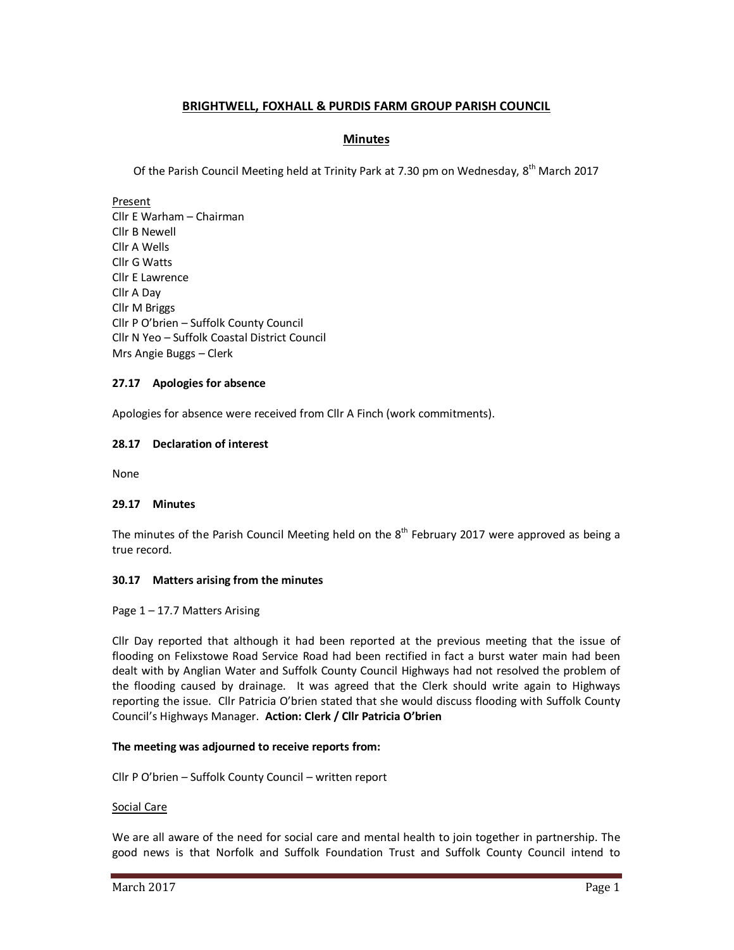# **BRIGHTWELL, FOXHALL & PURDIS FARM GROUP PARISH COUNCIL**

## **Minutes**

Of the Parish Council Meeting held at Trinity Park at 7.30 pm on Wednesday, 8<sup>th</sup> March 2017

Present Cllr E Warham – Chairman Cllr B Newell Cllr A Wells Cllr G Watts Cllr E Lawrence Cllr A Day Cllr M Briggs Cllr P O'brien – Suffolk County Council Cllr N Yeo – Suffolk Coastal District Council Mrs Angie Buggs – Clerk

## **27.17 Apologies for absence**

Apologies for absence were received from Cllr A Finch (work commitments).

## **28.17 Declaration of interest**

None

### **29.17 Minutes**

The minutes of the Parish Council Meeting held on the  $8<sup>th</sup>$  February 2017 were approved as being a true record.

### **30.17 Matters arising from the minutes**

### Page 1 – 17.7 Matters Arising

Cllr Day reported that although it had been reported at the previous meeting that the issue of flooding on Felixstowe Road Service Road had been rectified in fact a burst water main had been dealt with by Anglian Water and Suffolk County Council Highways had not resolved the problem of the flooding caused by drainage. It was agreed that the Clerk should write again to Highways reporting the issue. Cllr Patricia O'brien stated that she would discuss flooding with Suffolk County Council's Highways Manager. **Action: Clerk / Cllr Patricia O'brien** 

### **The meeting was adjourned to receive reports from:**

Cllr P O'brien – Suffolk County Council – written report

### Social Care

We are all aware of the need for social care and mental health to join together in partnership. The good news is that Norfolk and Suffolk Foundation Trust and Suffolk County Council intend to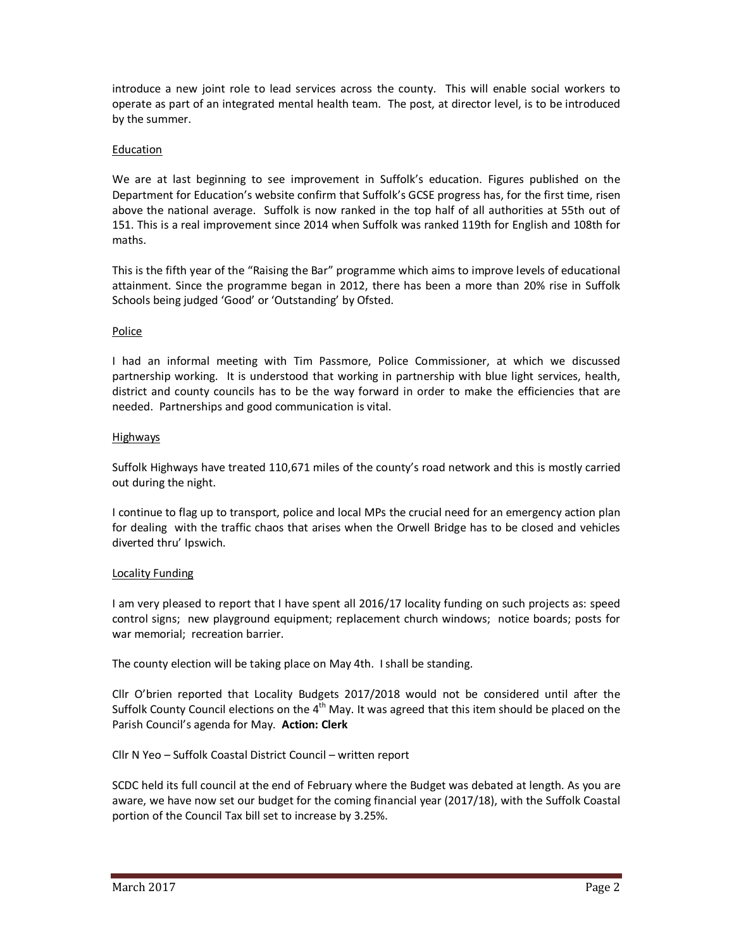introduce a new joint role to lead services across the county. This will enable social workers to operate as part of an integrated mental health team. The post, at director level, is to be introduced by the summer.

## Education

We are at last beginning to see improvement in Suffolk's education. Figures published on the Department for Education's website confirm that Suffolk's GCSE progress has, for the first time, risen above the national average. Suffolk is now ranked in the top half of all authorities at 55th out of 151. This is a real improvement since 2014 when Suffolk was ranked 119th for English and 108th for maths.

This is the fifth year of the "Raising the Bar" programme which aims to improve levels of educational attainment. Since the programme began in 2012, there has been a more than 20% rise in Suffolk Schools being judged 'Good' or 'Outstanding' by Ofsted.

# **Police**

I had an informal meeting with Tim Passmore, Police Commissioner, at which we discussed partnership working. It is understood that working in partnership with blue light services, health, district and county councils has to be the way forward in order to make the efficiencies that are needed. Partnerships and good communication is vital.

## Highways

Suffolk Highways have treated 110,671 miles of the county's road network and this is mostly carried out during the night.

I continue to flag up to transport, police and local MPs the crucial need for an emergency action plan for dealing with the traffic chaos that arises when the Orwell Bridge has to be closed and vehicles diverted thru' Ipswich.

## Locality Funding

I am very pleased to report that I have spent all 2016/17 locality funding on such projects as: speed control signs; new playground equipment; replacement church windows; notice boards; posts for war memorial; recreation barrier.

The county election will be taking place on May 4th. I shall be standing.

Cllr O'brien reported that Locality Budgets 2017/2018 would not be considered until after the Suffolk County Council elections on the  $4<sup>th</sup>$  May. It was agreed that this item should be placed on the Parish Council's agenda for May. **Action: Clerk** 

Cllr N Yeo – Suffolk Coastal District Council – written report

SCDC held its full council at the end of February where the Budget was debated at length. As you are aware, we have now set our budget for the coming financial year (2017/18), with the Suffolk Coastal portion of the Council Tax bill set to increase by 3.25%.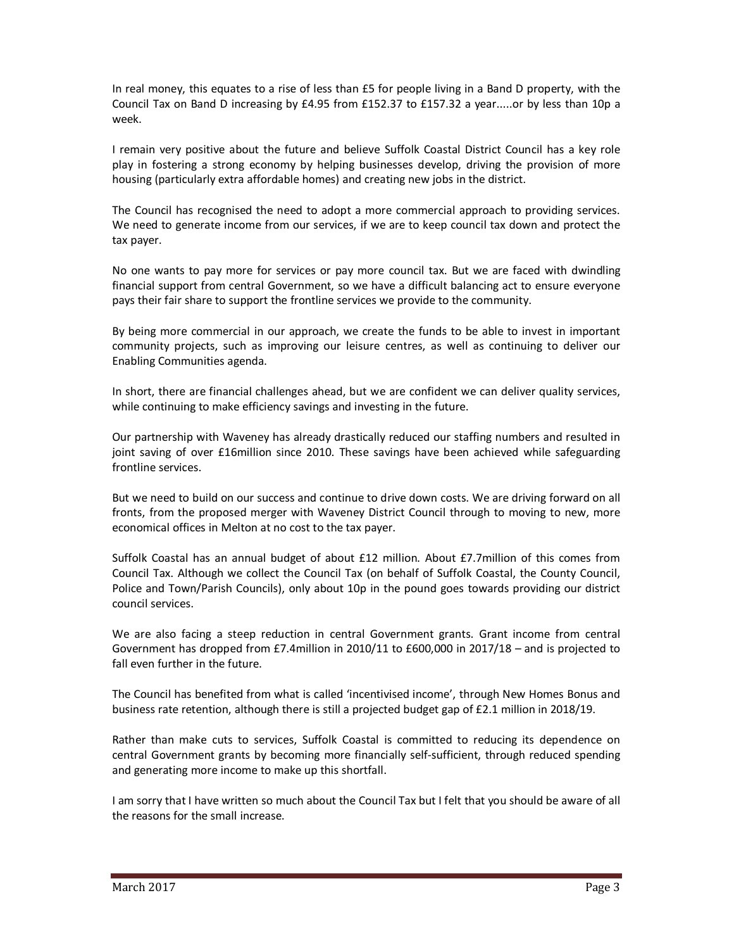In real money, this equates to a rise of less than £5 for people living in a Band D property, with the Council Tax on Band D increasing by £4.95 from £152.37 to £157.32 a year.....or by less than 10p a week.

I remain very positive about the future and believe Suffolk Coastal District Council has a key role play in fostering a strong economy by helping businesses develop, driving the provision of more housing (particularly extra affordable homes) and creating new jobs in the district.

The Council has recognised the need to adopt a more commercial approach to providing services. We need to generate income from our services, if we are to keep council tax down and protect the tax payer.

No one wants to pay more for services or pay more council tax. But we are faced with dwindling financial support from central Government, so we have a difficult balancing act to ensure everyone pays their fair share to support the frontline services we provide to the community.

By being more commercial in our approach, we create the funds to be able to invest in important community projects, such as improving our leisure centres, as well as continuing to deliver our Enabling Communities agenda.

In short, there are financial challenges ahead, but we are confident we can deliver quality services, while continuing to make efficiency savings and investing in the future.

Our partnership with Waveney has already drastically reduced our staffing numbers and resulted in joint saving of over £16million since 2010. These savings have been achieved while safeguarding frontline services.

But we need to build on our success and continue to drive down costs. We are driving forward on all fronts, from the proposed merger with Waveney District Council through to moving to new, more economical offices in Melton at no cost to the tax payer.

Suffolk Coastal has an annual budget of about £12 million. About £7.7million of this comes from Council Tax. Although we collect the Council Tax (on behalf of Suffolk Coastal, the County Council, Police and Town/Parish Councils), only about 10p in the pound goes towards providing our district council services.

We are also facing a steep reduction in central Government grants. Grant income from central Government has dropped from £7.4million in 2010/11 to £600,000 in 2017/18 – and is projected to fall even further in the future.

The Council has benefited from what is called 'incentivised income', through New Homes Bonus and business rate retention, although there is still a projected budget gap of £2.1 million in 2018/19.

Rather than make cuts to services, Suffolk Coastal is committed to reducing its dependence on central Government grants by becoming more financially self-sufficient, through reduced spending and generating more income to make up this shortfall.

I am sorry that I have written so much about the Council Tax but I felt that you should be aware of all the reasons for the small increase.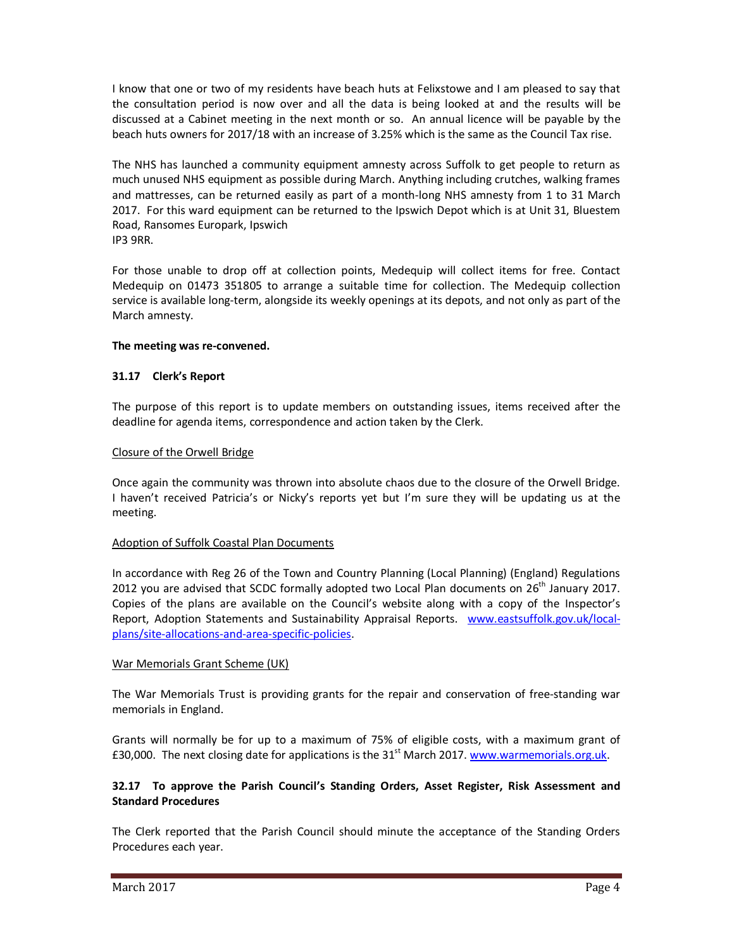I know that one or two of my residents have beach huts at Felixstowe and I am pleased to say that the consultation period is now over and all the data is being looked at and the results will be discussed at a Cabinet meeting in the next month or so. An annual licence will be payable by the beach huts owners for 2017/18 with an increase of 3.25% which is the same as the Council Tax rise.

The NHS has launched a community equipment amnesty across Suffolk to get people to return as much unused NHS equipment as possible during March. Anything including crutches, walking frames and mattresses, can be returned easily as part of a month-long NHS amnesty from 1 to 31 March 2017. For this ward equipment can be returned to the Ipswich Depot which is at Unit 31, Bluestem Road, Ransomes Europark, Ipswich IP3 9RR.

For those unable to drop off at collection points, Medequip will collect items for free. Contact Medequip on 01473 351805 to arrange a suitable time for collection. The Medequip collection service is available long-term, alongside its weekly openings at its depots, and not only as part of the March amnesty.

## **The meeting was re-convened.**

## **31.17 Clerk's Report**

The purpose of this report is to update members on outstanding issues, items received after the deadline for agenda items, correspondence and action taken by the Clerk.

## Closure of the Orwell Bridge

Once again the community was thrown into absolute chaos due to the closure of the Orwell Bridge. I haven't received Patricia's or Nicky's reports yet but I'm sure they will be updating us at the meeting.

### Adoption of Suffolk Coastal Plan Documents

In accordance with Reg 26 of the Town and Country Planning (Local Planning) (England) Regulations 2012 you are advised that SCDC formally adopted two Local Plan documents on 26<sup>th</sup> January 2017. Copies of the plans are available on the Council's website along with a copy of the Inspector's Report, Adoption Statements and Sustainability Appraisal Reports. www.eastsuffolk.gov.uk/localplans/site-allocations-and-area-specific-policies.

### War Memorials Grant Scheme (UK)

The War Memorials Trust is providing grants for the repair and conservation of free-standing war memorials in England.

Grants will normally be for up to a maximum of 75% of eligible costs, with a maximum grant of £30,000. The next closing date for applications is the  $31<sup>st</sup>$  March 2017. www.warmemorials.org.uk.

## **32.17 To approve the Parish Council's Standing Orders, Asset Register, Risk Assessment and Standard Procedures**

The Clerk reported that the Parish Council should minute the acceptance of the Standing Orders Procedures each year.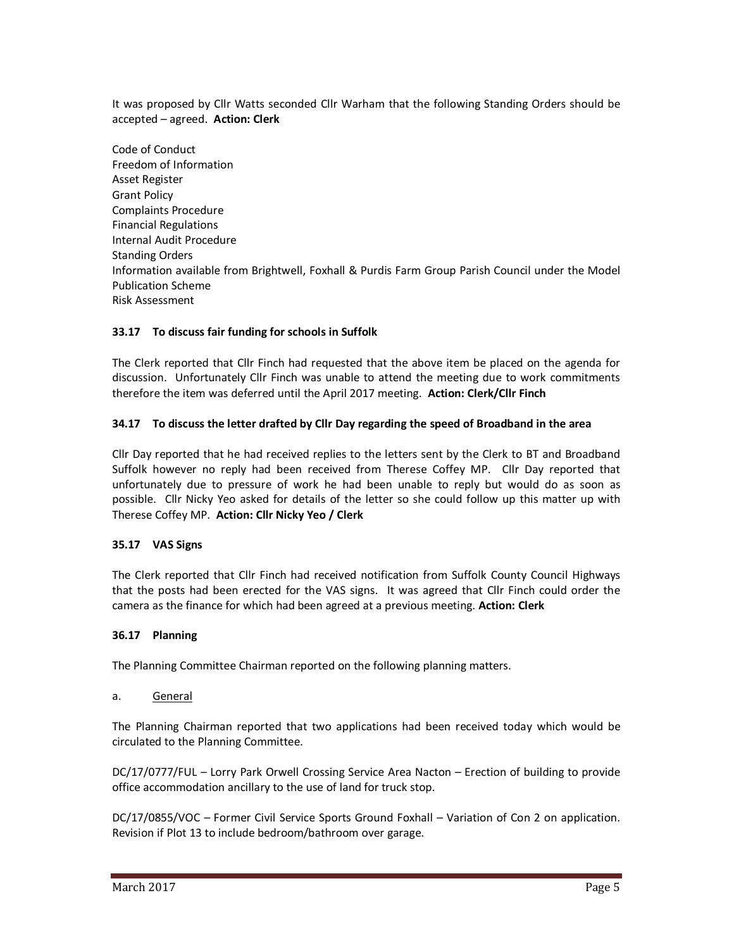It was proposed by Cllr Watts seconded Cllr Warham that the following Standing Orders should be accepted – agreed. **Action: Clerk** 

Code of Conduct Freedom of Information Asset Register Grant Policy Complaints Procedure Financial Regulations Internal Audit Procedure Standing Orders Information available from Brightwell, Foxhall & Purdis Farm Group Parish Council under the Model Publication Scheme Risk Assessment

## **33.17 To discuss fair funding for schools in Suffolk**

The Clerk reported that Cllr Finch had requested that the above item be placed on the agenda for discussion. Unfortunately Cllr Finch was unable to attend the meeting due to work commitments therefore the item was deferred until the April 2017 meeting. **Action: Clerk/Cllr Finch** 

## **34.17 To discuss the letter drafted by Cllr Day regarding the speed of Broadband in the area**

Cllr Day reported that he had received replies to the letters sent by the Clerk to BT and Broadband Suffolk however no reply had been received from Therese Coffey MP. Cllr Day reported that unfortunately due to pressure of work he had been unable to reply but would do as soon as possible. Cllr Nicky Yeo asked for details of the letter so she could follow up this matter up with Therese Coffey MP. **Action: Cllr Nicky Yeo / Clerk** 

### **35.17 VAS Signs**

The Clerk reported that Cllr Finch had received notification from Suffolk County Council Highways that the posts had been erected for the VAS signs. It was agreed that Cllr Finch could order the camera as the finance for which had been agreed at a previous meeting. **Action: Clerk** 

### **36.17 Planning**

The Planning Committee Chairman reported on the following planning matters.

a. General

The Planning Chairman reported that two applications had been received today which would be circulated to the Planning Committee.

DC/17/0777/FUL – Lorry Park Orwell Crossing Service Area Nacton – Erection of building to provide office accommodation ancillary to the use of land for truck stop.

DC/17/0855/VOC – Former Civil Service Sports Ground Foxhall – Variation of Con 2 on application. Revision if Plot 13 to include bedroom/bathroom over garage.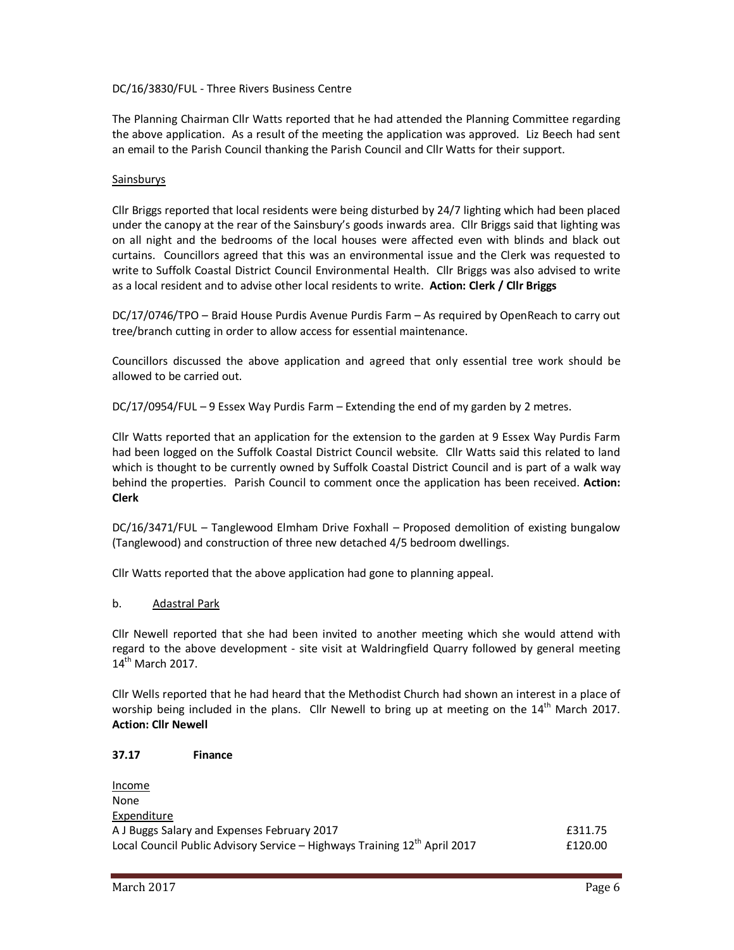## DC/16/3830/FUL - Three Rivers Business Centre

The Planning Chairman Cllr Watts reported that he had attended the Planning Committee regarding the above application. As a result of the meeting the application was approved. Liz Beech had sent an email to the Parish Council thanking the Parish Council and Cllr Watts for their support.

### Sainsburys

Cllr Briggs reported that local residents were being disturbed by 24/7 lighting which had been placed under the canopy at the rear of the Sainsbury's goods inwards area. Cllr Briggs said that lighting was on all night and the bedrooms of the local houses were affected even with blinds and black out curtains. Councillors agreed that this was an environmental issue and the Clerk was requested to write to Suffolk Coastal District Council Environmental Health. Cllr Briggs was also advised to write as a local resident and to advise other local residents to write. **Action: Clerk / Cllr Briggs**

DC/17/0746/TPO – Braid House Purdis Avenue Purdis Farm – As required by OpenReach to carry out tree/branch cutting in order to allow access for essential maintenance.

Councillors discussed the above application and agreed that only essential tree work should be allowed to be carried out.

DC/17/0954/FUL – 9 Essex Way Purdis Farm – Extending the end of my garden by 2 metres.

Cllr Watts reported that an application for the extension to the garden at 9 Essex Way Purdis Farm had been logged on the Suffolk Coastal District Council website. Cllr Watts said this related to land which is thought to be currently owned by Suffolk Coastal District Council and is part of a walk way behind the properties. Parish Council to comment once the application has been received. **Action: Clerk**

DC/16/3471/FUL – Tanglewood Elmham Drive Foxhall – Proposed demolition of existing bungalow (Tanglewood) and construction of three new detached 4/5 bedroom dwellings.

Cllr Watts reported that the above application had gone to planning appeal.

### b. Adastral Park

Cllr Newell reported that she had been invited to another meeting which she would attend with regard to the above development - site visit at Waldringfield Quarry followed by general meeting 14<sup>th</sup> March 2017.

Cllr Wells reported that he had heard that the Methodist Church had shown an interest in a place of worship being included in the plans. Cllr Newell to bring up at meeting on the  $14<sup>th</sup>$  March 2017. **Action: Cllr Newell** 

## **37.17 Finance**

| Income                                                                                |         |
|---------------------------------------------------------------------------------------|---------|
| None                                                                                  |         |
| Expenditure                                                                           |         |
| A J Buggs Salary and Expenses February 2017                                           | £311.75 |
| Local Council Public Advisory Service - Highways Training 12 <sup>th</sup> April 2017 | £120.00 |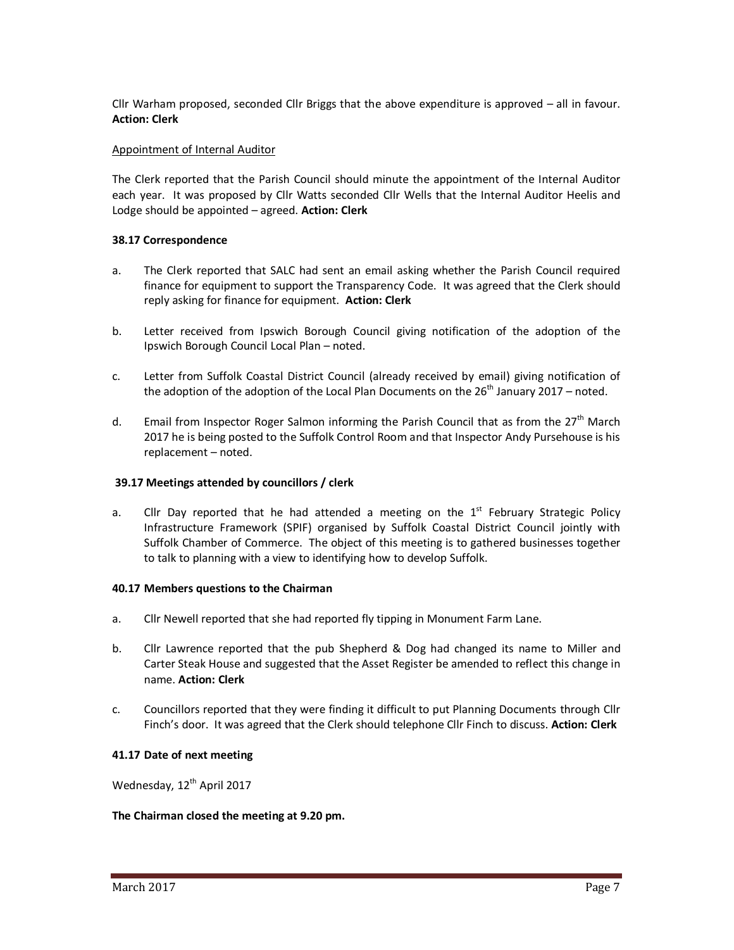Cllr Warham proposed, seconded Cllr Briggs that the above expenditure is approved – all in favour. **Action: Clerk** 

## Appointment of Internal Auditor

The Clerk reported that the Parish Council should minute the appointment of the Internal Auditor each year. It was proposed by Cllr Watts seconded Cllr Wells that the Internal Auditor Heelis and Lodge should be appointed – agreed. **Action: Clerk** 

## **38.17 Correspondence**

- a. The Clerk reported that SALC had sent an email asking whether the Parish Council required finance for equipment to support the Transparency Code. It was agreed that the Clerk should reply asking for finance for equipment. **Action: Clerk**
- b. Letter received from Ipswich Borough Council giving notification of the adoption of the Ipswich Borough Council Local Plan – noted.
- c. Letter from Suffolk Coastal District Council (already received by email) giving notification of the adoption of the adoption of the Local Plan Documents on the  $26<sup>th</sup>$  January 2017 – noted.
- d. Email from Inspector Roger Salmon informing the Parish Council that as from the  $27<sup>th</sup>$  March 2017 he is being posted to the Suffolk Control Room and that Inspector Andy Pursehouse is his replacement – noted.

### **39.17 Meetings attended by councillors / clerk**

a. Cllr Day reported that he had attended a meeting on the  $1<sup>st</sup>$  February Strategic Policy Infrastructure Framework (SPIF) organised by Suffolk Coastal District Council jointly with Suffolk Chamber of Commerce. The object of this meeting is to gathered businesses together to talk to planning with a view to identifying how to develop Suffolk.

### **40.17 Members questions to the Chairman**

- a. Cllr Newell reported that she had reported fly tipping in Monument Farm Lane.
- b. Cllr Lawrence reported that the pub Shepherd & Dog had changed its name to Miller and Carter Steak House and suggested that the Asset Register be amended to reflect this change in name. **Action: Clerk**
- c. Councillors reported that they were finding it difficult to put Planning Documents through Cllr Finch's door. It was agreed that the Clerk should telephone Cllr Finch to discuss. **Action: Clerk**

### **41.17 Date of next meeting**

Wednesday, 12<sup>th</sup> April 2017

### **The Chairman closed the meeting at 9.20 pm.**